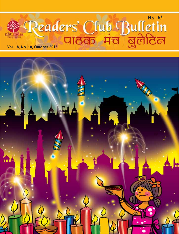

Vol. 18, No. 10, October 2013

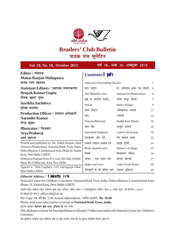

## **Readers' Club Bulletin** पाठक मंच बुलेटिन

### **Vol. 18, No. 10, October 2013 only and 18, अंक 10, अक्टूबर 2013**

#### **Editor / संपादक Manas Ranjan Mahapatra मानस** रंजन महापात्र Assistant Editors / सहायक संपादकगण **Deepak Kumar Gupta** दीपक कुमार गुप्ता **Surekha Sachdeva सरेखा सचदेव Production Officer / उत्पादन अधिकारी Narender Kumar नरेन्द्र** कमार **Illustrator / चित्रकार Arya Praharaj** आर्य **प्रहराज** Printed and published by Mr. Satish Kumar, Joint Director (Production), National Book Trust, India, Nehru Bhawan 5, Institutional Area, Phase-II, Vasant Kunj, New Delhi-110070 Printed at Pushpak Press Pvt, Ltd. 203-204, DSIDC Shed, Ph-I Okhla Ind. Area, New Delhi. Typeset at Nath Graphics, 1/21, Sarvapriya Vihar, New Delhi-110016 **Contents/***l* **Interactive Storytelling Session** 1 lkr समुंदर बाद बाद आर्मिताभ शंकर राय चौधरी The Mahatma and... Sabyasachi Bhattacharya 4 मुझे तो चालीस करोड... शोभा माथुर ब्रिजेंद्र 7 Diwali Indira Noopur 9 Mkd fVdV vkseizdk'k ctkt 13 चाट $\frac{14}{14}$ Princess Belmanti Radha Kant Bharti 16 खेल गीत जिल्लाको साधरी शास्त्री जिल्लाको अस्ति । १८ Anecdotal Euphoria Cadet Lalit Kumar 19 राजकमार और परी $\frac{1}{2}$  वेद प्रकाश कवर $\frac{22}{2}$ छक्कम छक्कम रेल प्रत्यूष गुलेरी बाट 24 Birds, Animals and... Mohan Lal Mago 25 frDds f'kopj.k pkSgku 26 जापान : एक महान देश दन्दिरा बागची  $27$ Highs and Lows Cadet Vivek Boora 29 ohjcgwVh ;k Fkzh&Oghyj dkj vkboj ;wf'k,y 32

### *Editorial Address /* **laikndh; irk**

National Centre for Children's Literature, National Book Trust, India, Nehru Bhawan 5, Institutional Area, Phase - II, Vasant Kunj, New Delhi-110070

राष्ट्रीय बाल साहित्य केंद्र, नेशनल बक टस्ट, इंडिया, नेहरू भवन, 5 इंस्टीटयशनल एरिया, फेस-11, वसंत कुंज, नई दिल्ली-110070

E-Mail (ई-मेल): office.nbt@nic.in

Per Copy/ एक प्रति Rs. 5.00 Annual subscription / वार्षिक ग्राहको : Rs. 50.00

Please send your subscription in favour of **National Book Trust, India.**

कपया भगतान **नेशनल बक टस्ट, इंडिया के** नाम भेजें।

This Bulletin is meant for free distribution to Readers' Clubs associated with National Centre for Children's Literature.

यह बुलेटिन राष्ट्रीय बाल साहित्य केंद्र से जुडे पाठक मंचो को नि:जुल्क वितरित किया जाता है।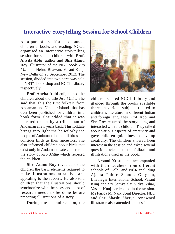## **Interactive Storytelling Session for School Children**

As a part of its efforts to connect children to books and reading, NCCL organised an interactive storytelling session for school children with **Prof. Anvita Abbi**, author and **Shri Atanu Roy**, illustrator of the NBT book Jiro Mithe in Nehru Bhawan, Vasant Kunj, New Delhi on 20 September 2013. The session, divided into two parts was held in NBT's book shop and NCCL Library respectively.

**Prof. Anvita Abbi** enlightened the children about the title Jiro Mithe. She said that, this the first folktale from Andaman and Nicobar Islands that has ever been published for children in a book form. She added that it was narrated to her by a tribal man of Andaman a few years back. This folktale brings into light the belief why the people of Andaman do not kill birds and consider birds as their ancestors. She also informed children about birds that exist only in Andaman. Later, she retold the story of Jiro Mithe which rejoiced the children.

**Shri Atanu Roy** revealed to the children the basic elements required to make illustrations attractive and appealing to the readers. He also told children that the illustrations should synchronize with the story and a lot of research needs to be done before preparing illustrations of a story.

During the second session, the



children visited NCCL Library and glanced through the books available there on various subjects related to children's literature in different Indian and foreign languages. Prof. Abbi and Shri Roy resumed the storytelling and interacted with the children. They talked about various aspects of creativity and gave children guidelines to develop creativity. The children showed keen interest in the session and asked several questions related to the folktale and illustrations used in the book.

Around 90 students accompanied with their teachers from different schools of Delhi and NCR including Ajanta Public School, Gurgaon, Bhatnagar International School, Vasant Kunj and Sri Sathya Sai Vidya Vihar, Vasant Kunj particpated in the session. Ms Farida M. Naik, Joint Director, NBT and Shri Shashi Shetye, renowned illustrator also attended the session.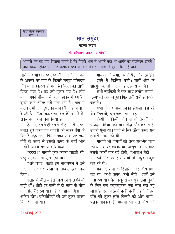धारावाहिक उपन्यास भाग $: 8$ 

## सात समुदर पहला कदम डॉ. अमिताभ शंकर राय चौधरी

आपको हम यह याद दिलाना चाहते हैं कि पिछले भाग में आपने पढ़ा था आर्थर का बैडमिंटन खेलने तथा घायल होकर रात भर कराहते रहने के बारे में। इस भाग में कुछ और नई बातें...

चारों ओर भीड़। तरह-तरह की आवाजें। ओणम के अवसर पर पंपा के किनारे समूचा हरिपदम गाँव मानो इकट्ठा हो गया है। किसी का साथी बिछड़ गया है। वह उसे पुकार रहा है। कोई बच्चा अपने माँ-बाप से अलग होकर रो रहा है। दूसरी कोई औरत उसे मना रही है। गाँव में करीब सभी एक-दूसरे को जानते हैं। वह आवाज दे रही है ''अरे कारतम्मा. देख तेरे बेटे ने रो-रोकर क्या हाल बना लिया है!"

ऐसे में, देखते-ही-देखते भीड में से रास्ता बनाते हुए नारायणन गायत्री को लेकर पंपा के किनारे पहुँच गए। फिर उसका फ्राक उतारकर गंजी के ऊपर से उसकी कमर के चारों ओर उन्होंने अपना गमछा बाँध दिया।

''दूददा!'' गायत्री कुछ कहना चाहती थी, परंतु उसका गला सूख रहा था।

"अरे चल!" कहते हुए नारायणन ने उसे गोदी में उठाकर पानी में लाकर खडा कर दिया।

कतार में बीस-बाईस छोटी-छोटी लड़कियाँ खड़ी थीं। थोड़ी दूर पानी में दो नावों के बीच एक बाँस तैर रहा था। वही था प्रतियोगिता का अंतिम छोर। प्रतियोगियों को उसे छूकर वापस किनारे आना था।

गायत्री को लगा, उसके पैर काँप रहे हैं। इतने में व्हिसिल बजी। चारों ओर के

शोरगुल के बीच एक नई उल्लास ध्वनि।

सभी लड़कियों ने एक साथ छलाँग लगाई। 'छप्प' की आवाज हुई। फिर लगीं सभी हाथ-पाँव चलाने ।

सभी के घर वाले उनका हौसला बढ़ा रहे थे। "पंचमी. चल-चल. आगे बढ!"

किसी ने किसी कोच से तो तैराकी का प्रशिक्षण लिया नहीं था। जोश और हिम्मत ही उनकी पूँजी थी। पानी से सिर ऊँचा करके सब हाथ-पैर मार रही थीं।

गायत्री भी पागलों की तरह हाथ-पैर चला रही थी। शायद एकाध बार अप्पुपन की आवाज उसके कानों तक गई होगी, "शाबाश बेटी!"

हर्ष और उत्साह से सभी लोग कुछ-न-कुछ कह रहे थे।

मंद-मंद पानी के हिलोरे में वह बाँस हिल रहा था। कभी ऊपर, कभी नीचे लहरें उसे नचा रही थीं। जैसे कबूतरों का झुंड दाना चुगने के लिए पंख फडफडाकर एक साथ तेज उड जाता है, उसी तरह वे नन्ही-नन्ही लड़कियाँ इस बाँस को छूकर तुरंत किनारे की ओर भागीं। पलक झपकते ही गायत्री भी उस बाँस को

2 / vDVrcj 2013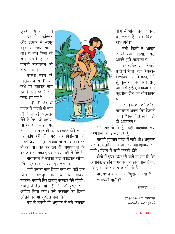छूकर वापस आने लगी। हर्ष से प्रफुल्लित और उत्साह से भरपूर ददुदा का चेहरा सामने था। वे हाथ हिला रहे थे। अगले ही क्षण गायत्री नारायणन की बाँहों में थी।

बासठ साल के नारायणन पोती को कंधे पर बैठाकर नाच रहे थे, झूम रहे थे, "तू फर्स्ट आ गई रे!"

थोडी ही देर में माइक में गायत्री के नाम की घोषणा हुई। पुरस्कार लेने के लिए उसे बुलाया जा रहा था। माइक पर

अपना नाम सुनते ही उसे घबराहट होने लगी। वह काँप रही थी। पेट और पिंडलियों की माँसपेशियों में एक अजीब-सा तनाव था। दर्द हो रहा था। वह कह रही थी, अप्पुपन से कि वह जाकर उसका पुरस्कार क्यों नहीं ले लेते हैं। नारायणन ने उसका बाल पकड़कर खींचा,

''तेरा पुरस्कार मैं क्यों लूँ? चल, जा!''

जहाँ उसका नाम लिखा गया था, वहीं एक छोटा-मोटा मंचनुमा मचान बना था। गायत्री घबराते- घबराते सिर झुकाए पुरस्कार लेने पहुँची। बेचारी ने देखा भी नहीं कि उसे पुरस्कार में आखिर मिला क्या। उसे पुरस्कार का डिब्बा खोलने की भी फुरसत नहीं मिली।

मंच से उतरते ही अप्पुपन ने उसे कसकर



बाँहों में भींच लिया, ''चल, घर चलते हैं। सब कितने खुश होंगे!"

तभी किसी ने आकर उनको प्रणाम किया, "सर. आपने मुझे पहचाना?"

वह व्यक्ति था तैराकी प्रतियोगिता का रैफरी-निर्णायक। उसने कहा, ''मैं हूँ कुमारन नयनार। सन् अस्सी में हाईस्कूल किया था। फुटबॉल टीम का गोलकीपर था। $"$ 

 $''$ ओह-हो-हाँ-हाँ !' नारायणन अपना सिर हिलाने लगे। ''कहो कैसे हो? कहाँ हो आजकल?''

''मैं अलेप्पी में हूँ। वहीं विश्वविद्यालय तरणताल का इन्सट्रक्टर हूँ।''

गायत्री चुपचाप बगल में खड़ी थी। अप्पुपन कब घर चलेंगे? आज शाम को आतिशबाजी भी होगी। मैदान में सभी इकटूठे होंगे।

दोनों में इधर-उधर की बातें हो रही थी कि अचानक उन्होंने नारायणन का हाथ थाम लिया, ''सर, आपसे एक चीज माँगनी है!''

नारायणन चौंक उठे, "मुझसे? क्या?"  $'$ आपकी पोती!''

(क्रमशः ...)

सी-26/35-40 ए, रामकटोरा वाराणसी-221001 (उ.प्र.)

**Readers' Club Bulletin** 

October 2013 / 3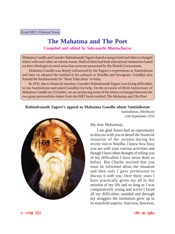## **The Mahatma and The Poet**

**Compiled and edited by Sabyasachi Bhattacharya**

Mahatma Gandhi and Gurudev Rabindranath Tagore shared a unique bond and often exchanged letters with each other on various issues. Both of them had built educational institutions based on their ideologies in rural areas that were not sponsored by the British Government.

Mahatma Gandhi was deeply influenced by the Tagore's experiments at Santiniketan and later on adopted the method at his ashrams in Wardha and Sevagram. Gandhiji also framed the fundamentals for 'Basic Education' in India.

In 1935, due to financial situation, Gurudev Rabindranath Tagore was facing difficulties to run Santiniketan and asked Gandhiji for help. On the occasion of Birth Anniversary of Mahatma Gandhi on 2 October, we are producing some of the letters exchanged between the two great personalities taken from the NBT book entitled The Mahatma and The Poet.

### **Rabindranath Tagore's appeal to Mahatma Gandhi about Santiniketan**



Santiniketan, (Birbhum) 12th September 1935

My dear Mahatmaji,

I am glad Suren had an opportunity to discuss with you in detail the financial situation of the asrama during his recent visit to Wardha. I know how busy you are with your various activities and though I have often thought of telling you of my difficulties I have never done so before. But Charlie insisted that you must be informed about the situation and then only I gave permission to discuss it with you. Over thirty years I have practically given my all to this mission of my life and so long as I was comparatively young and active I faced all my difficulties unaided and through my struggles the institution grew up in its manifold aspects. And now, however,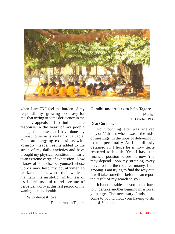

when I am 75 I feel the burden of my responsibility growing too heavy for me, that owing to some deficiency in me that my appeals fail to find adequate response in the heart of my people though the cause that I have done my utmost to serve is certainly valuable. Constant begging excursions with absurdly meager results added to the strain of my daily anxieties and have brought my physical constitution nearly to an extreme verge of exhaustion. Now I know of none else but yourself whose words may help my countrymen to realize that it is worth their while to maintain this institution in fullness of its functions and to relieve me of perpetual worry at this last period of my waning life and health.

With deepest love,

Rabindranath Tagore

**Gandhi undertakes to help Tagore**

Wardha, 13 October 1935

Dear Gurudev,

Your touching letter was received only on 11th inst. when I was in the midst of meetings. In the hope of delivering it to me personally Anil needlessly detained it. I hope he is now quite restored to health. Yes, I have the financial position before me now. You may depend upon my straining every nerve to find the required money. I am groping. I am trying to find the way out. It will take sometime before I can report the result of my search to you.

It is unthinkable that you should have to undertake another begging mission at your age. The necessary funds must come to you without your having to stir out of Santiniketan.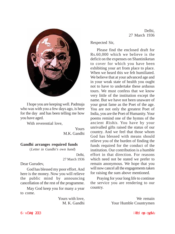

I hope you are keeping well. Padmaja who was with you a few days ago, is here for the day and has been telling me how you have aged.

With reverential love,

Yours M.K. Gandhi

### **Gandhi arranges required funds**

(Letter in Gandhi's own hand)

Delhi, 27 March 1936

Dear Gurudev,

God has blessed my poor effort. And here is the money. Now you will relieve the public mind by announcing cancellation of the rest of the programme.

May God keep you for many a year to come.

> Yours with love, M. K. Gandhi

Delhi, 27 March 1936

Respected Sir,

Please find the enclosed draft for Rs.60,000 which we believe is the deficit on the expenses on Shantiniketan to cover for which you have been exhibiting your art from place to place. When we heard this we felt humiliated. We believe that at your advanced age and in your weak state of health you ought not to have to undertake these arduous tours. We must confess that we know very little of the institution except the name. But we have not been unaware of your great fame as the Poet of the age. You are not only the greatest Poet of India, you are the Poet of Humanity. Your poems remind one of the hymns of the ancient Rishis. You have by your unrivalled gifts raised the status of our country. And we feel that those whom God has blessed with means should relieve you of the burden of finding the funds required for the conduct of the institution. Our contribution is a humble effort in that direction. For reasons which need not be stated we prefer to remain anonymous. We hope that you will now cancel all the engagements taken for raising the sum above mentioned.

Praying for your long life to continue the service you are rendering to our country.

> We remain Your Humble Countrymen

6 / vDVwcj 2013 ikBd eap cqysfVu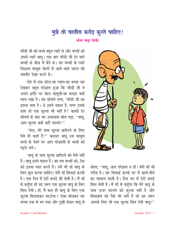## मुझे तो चालीस करोड़ कुरते चाहिए!

शोभा माथुर ब्रिजेंद्र

गाँधी जी को बच्चे बहुत प्यारे थे और बच्चों को अपने प्यारे बापू। एक बार गाँधी जी ढेर सारे बच्चों के बीच में बैठे थे। वह बच्चों के प्यारे निश्छल मासूम चेहरों में आने वाले भारत की तसवीर देखा करते थे।

ऐसे में एक छोटा-सा प्यारा-सा बच्चा यह देखकर बहुत परेशान हुआ कि गाँधी जी ने अपने शरीर पर बेहद मामूली-सा कपड़ा क्यों पहन रखा है। वह सोचने लगा. 'गाँधी जी का इतना नाम है। ये इतने महान हैं, मगर इनके पास तो एक करता भी नहीं है!' काफी देर सोचने के बाद वह अनायास बोल पडा. ''बाप. आप करता क्यों नहीं पहनते?"

''बेटा, मेरे पास कुरता खरीदने के लिए पैसे ही कहाँ हैं?" कहकर बापू उस मासूम बच्चे के चेहरे पर आए परेशानी के भावों को पढने लगे।

'बापू के पास कुरता खरीदने को पैसे नहीं हैं। बापू इतने महान हैं। वह हम बच्चों को, देश को इतना प्यार करते हैं। हमें भी तो बापू के लिए कुछ करना चाहिए! मेरी माँ सिलाई करती है। एक दिन में ढेरों कपडे सी लेती है। मैं माँ से कहूँगा तो वह जरूर एक कुरता बापू के लिए सिल देंगी। हाँ, मैं कल ही बापू के लिए एक करता सिलवाकर लाऊँगा।' ऐसा सोचकर वह बच्चा दया से भर गया और दुखी होकर बापू से



बोला, ''बापू, आप परेशान न हों। मेरी माँ भी गरीब है। वह सिलाई करके घर में खाने-पीने का सामान लाती है। दिन भर में ढेरों कपडे सिल लेती है। मैं माँ से कहूँगा कि मेरे बापू के पास ऊपर पहनने को कुरता नहीं है और सिलवाने को पैसे भी नहीं हैं तो वह जरूर आपके लिए भी एक कुरता सिल देगी बापू!"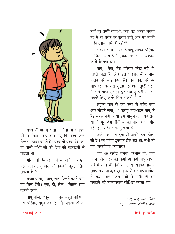

बच्चे की मासूम बातों ने गाँधी जी के दिल को छू लिया। वह जान गए कि बच्चे उन्हें कितना ज्यादा चाहते हैं। बच्चे तो बच्चे, देश का हर वासी गाँधी जी को दिल की गहराइयों से चाहता था।

गाँधी जी हँसकर बच्चे से बोले, ''अच्छा, यह बताओ, तुम्हारी माँ कितने कुरते सिल सकती हैं?"

बच्चा बोला, ''बापू, आप जितने कुरते चाहें वह सिल देंगी। एक, दो, तीन जितने आप कहोगे उतने!"

बापू बोले, ''कुरते तो मुझे बहुत चाहिए। मेरा परिवार बहुत बड़ा है। मैं अकेला ही तो नहीं हूँ! तुम्हीं बताओ, क्या यह अच्छा लगेगा कि मैं ही शरीर पर कुरता डालूँ और मेरे बाकी परिवारवाले ऐसे ही रहें?"

लड़का बोला, ''ठीक है बापू, आपके परिवार में जितने लोग हैं मैं सबके लिए माँ से कहकर कुरते सिलवा दूँगा।"

बापू, "बेटा, मेरा परिवार छोटा नहीं है, काफी बडा है, और इस परिवार में चालीस करोड मेरे भाई-बहन हैं। जब तक मेरे हर भाई-बहन के पास कुरता नहीं होगा तुम्हीं कहो, मैं कैसे पहन सकता हूँ? क्या तुम्हारी माँ इन सबके लिए कुरते सिल सकती है?"

लड़का बापू के इस उत्तर से चौंक गया और सोचने लगा, 40 करोड़ भाई-बहन बापू के हैं? समझ नहीं आया उस मासूम को। यह सच था कि पूरा देश गाँधी जी का परिवार था और वही इस परिवार के मुखिया थे।

उन्होंने हर उस दुख को अपने ऊपर झेला जो देश का गरीब इनसान झेल रहा था, तभी तो वह 'राष्ट्रपिता' कहलाए!

जब 40 करोड़ जनता परेशान हो, जहाँ अन्न और वस्त्र की कमी हो वहाँ बापू अपने बारे में सोच भी कैसे सकते थे! शायद बालक समझ गया था कुछ-कुछ। उसके बाद वह खामोश हो गया। वह सजल नेत्रों से गाँधी जी को समझने की नाकामयाब कोशिश करता रहा।

> 509, वी-8, पर्यटन विहार वसुंधरा एन्क्लेव, दिल्ली-110096

8 / vDVmj 2013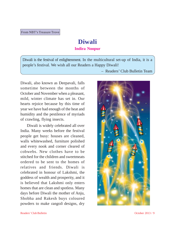## **Diwali**

### **Indira Noopur**

Diwali is the festival of enlightenment. In the multicultural set-up of India, it is a people's festival. We wish all our Readers a Happy Diwali!

Diwali, also known as Deepavali, falls sometime between the months of October and November when a pleasant, mild, winter climate has set in. Our hearts rejoice because by this time of year we have had enough of the heat and humidity and the pestilence of myriads of crawling, flying insects.

Diwali is widely celebrated all over India. Many weeks before the festival people get busy: houses are cleaned, walls whitewashed, furniture polished and every nook and corner cleared of cobwebs. New clothes have to be stitched for the children and sweetmeats ordered to be sent to the homes of relatives and friends. Diwali is celebrated in honour of Lakshmi, the goddess of wealth and prosperity, and it is believed that Lakshmi only enters homes that are clean and spotless. Many days before Diwali the mother of Anju, Shobha and Rakesh buys coloured powders to make rangoli designs, dry

– Readers' Club Bulletin Team

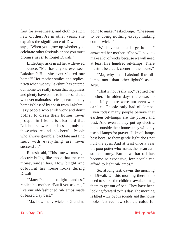fruit for sweetmeats, and cloth to stitch new clothes. As in other years, she explains the significance of Diwali and says, "When you grow up whether you celebrate other festivals or not you must promise never to forget Diwali."

Little Anju asks in all her wide-eyed innocence, "Ma, has anyone ever seen Lakshmi? Has she ever visited our home?" Her mother smiles and replies, "Beti when we say Lakshmi has entered our home we really mean that happiness and plenty have come to it. It is said that whoever maintains a clean, neat and tidy home is blessed by a visit from Lakshmi. Lazy people who shirk work and don't bother to clean their homes never prosper in life. It is also said that Lakshmi showers her blessing only on those who are kind and cheerful. People who always grumble, backbite and find fault with everything are never successful."

Rakesh said, "This time we must get electric bulbs, like those that the rich moneylender has. How bright and colourful his house looks during Diwali!"

"Many People also light candles," replied his mother. "But if you ask me, I like our old-fashioned oil-lamps made of baked clay best."

"Ma, how many wicks is Grandma

going to make?" asked Anju. "She seems to be doing nothing except making cotton wicks!"

"We have such a large house," answered her mother. "She will have to make a lot of wicks because we will need at least five hundred oil-lamps. There mustn't be a dark corner in the house."

"Ma, why does Lakshmi like oillamps more than other lights?" asked Anju.

"That's not really so," replied her mother. "In olden days there was no electricity, there were not even wax candles. People only had oil-lamps. Even today many people believe that earthen oil-lamps are the purest and best. And even if they put up electric bulbs outside their homes they will only use oil-lamps for prayer. I like oil-lamps best because their gentle light does not hurt the eyes. And at least once a year the poor potter who makes them can earn some money. But now that oil has become so expensive, few people can afford to light oil-lamps."

So, at long last, dawns the morning of Diwali. On this morning there is no need to shake the children awake or nag them to get out of bed. They have been looking forward to this day. The morning is filled with joyous sounds and the house looks festive: new clothes, colourful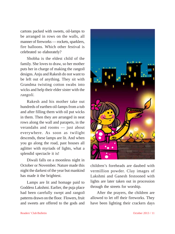cartons packed with sweets, oil-lamps to be arranged in rows on the walls, all manner of fireworks — rockets, sparklers, fire balloons. Which other festival is celebrated so elaborately?

Shobha is the eldest child of the family. She loves to draw, so her mother puts her in charge of making the rangoli designs. Anju and Rakesh do not want to be left out of anything. They sit with Grandma twisting cotton swabs into wicks and help their elder sister with the rangoli.

Rakesh and his mother take out hundreds of earthen oil-lamps from a tub and after filling them with oil put wicks in them. Then they are arranged in neat rows along the wall and parapets, in the verandahs and rooms — just about everywhere. As soon as twilight descends, these lamps are lit. And when you go along the road, past houses all aglitter with myriads of lights, what a splendid spectacle it is!

Diwali falls on a moonless night in October or November. Nature made this night the darkest of the year but mankind has made it the brightest.

Lamps are lit and homage paid to Goddess Lakshmi. Earlier, the puja place had been carefully swept and rangoli patterns drawn on the floor. Flowers, fruit and sweets are offered to the gods and



children's foreheads are daubed with vermillion powder. Clay images of Lakshmi and Ganesh festooned with lights are later taken out in procession through the streets for worship.

After the prayers, the children are allowed to let off their fireworks. They have been lighting their crackers days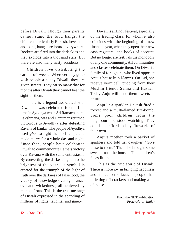before Diwali. Though their parents cannot stand the loud bangs, the children, particularly Rakesh, love them and bang bangs are heard everywhere. Rockets are fired into the dark skies and they explode into a thousand stars. But there are also many nasty accidents.

Children love distributing the cartons of sweets. Wherever they go to wish people a happy Diwali, they are given sweets. They eat so many that for months after Diwali they cannot bear the sight of them.

There is a legend associated with Diwali. It was celebrated for the first time in Ayodhya when Sri Ramachandra, Lakshmana, Sita and Hanuman returned victorious to Ayodhya after defeating Ravana of Lanka. The people of Ayodhya used ghee to light their oil-lamps and made merry for a whole day and night. Since then, people have celebrated Diwali to commemorate Rama's victory over Ravana with the same enthusiasm. By converting the darkest night into the brightest of the year – a symbol is created for the triumph of the light of truth over the darkness of falsehood, the victory of knowledge over ignorance, evil and wickedness, all achieved by man's efforts. This is the true message of Diwali expressed in the sparkling of millions of lights, laughter and gaiety.

Diwali is a Hindu festival, especially of the trading class, for whom it also coincides with the beginning of a new financial year, when they open their new cash registers and books of account. But no longer are festivals the monopoly of any one community. All communities and classes celebrate them. On Diwali a family of foreigners, who lived opposite Anju's house lit oil-lamps. On Eid, she receive vermicelli pudding from their Muslim friends Salma and Hassan. Today Anju will send them sweets in return.

Anju lit a sparkler. Rakesh fired a rocket and a multi-flamed fire-bomb. Some poor children from the neighbourhood stood watching. They could not afford to buy fireworks of their own.

Anju's mother took a packet of sparklers and told her daughter, "Give these to them." Then she brought some sweets from the house. The children's faces lit up.

This is the true spirit of Diwali. There is more joy in bringing happiness and smiles to the faces of people than in letting off crackers and making a lot of noise.

> (From the NBT Publication Festivals of India)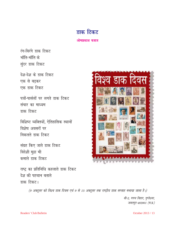

ओमप्रकाश बजाज

रंग-बिरंगे डाक टिकट भाँति-भाँति के सुंदर डाक टिकट

देश-देश के डाक टिकट एक से बढ़कर एक डाक टिकट

पत्रों-पार्सलों पर लगते डाक टिकट संचार का माध्यम डाक टिकट

विशिष्ट व्यक्तियों, ऐतिहासिक स्थानों विशेष अवसरों पर निकलते डाक टिकट

संग्रह किए जाते डाक टिकट विदेशी मुद्रा भी कमाते डाक टिकट

राष्ट्र का प्रतिनिधि कहलाते डाक टिकट देश की पहचान बताते डाक टिकट।

(9 अक्टूबर को विश्व डाक दिवस एवं 9 से 15 अक्टूबर तक राष्ट्रीय डाक सप्ताह मनाया जाता है।)

बी-2, गगन विहार, गुप्तेश्वर, जबलपुर-482001 (म.प्र.)



**Readers' Club Bulletin** 

October 2013 / 13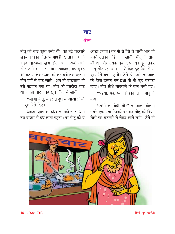

लेकर टिक्की-गोलगप्पे-पापड़ी खाती। घर के बाहर चाटवाला खड़ा होता था। उसके आने और जाने का टाइम था। ज्यादातर वह सुबह 10 बजे से लेकर शाम को छह बजे तक रहता। मीतू वहीं से चाट खाती। अब तो चाटवाला भी उसे पहचान गया था। मीतू की पसंदीदा चाट थी पापड़ी चाट। वह खूब शौक से खाती।

मीतू को चाट बहुत पसंद थी। वह बड़े चटखारे

''जाओ मीतू, बाहर से दूध ले आओ!'' माँ

अकसर शाम को दूधवाला नहीं आता था। तब बाजार से दूध लाना पड़ता। पर मीतू को ये

ने कुछ पैसे दिए।

अच्छा लगता। वह माँ से पैसे ले जाती और जो बचते उसकी कोई चीज खाती। मीतू नौ साल की थी और उसके कई दोस्त थे। दूध लेकर मीतू लौट रही थी। माँ के दिए हुए पैसों में से कुछ पैसे बच गए थे। जैसे ही उसने चाटवाले को देखा उसका मन हुआ वो भी कुछ चटपटा खाए। मीतू सीधे चाटवाले के पास चली गई। "भइया, एक प्लेट टिक्की दो!" मीतू ने

कहा।

"अभी लो बेबी जी!" चाटवाला बोला। उसने एक पत्ता टिक्की बनाकर मीतू को दिया, जिसे वह चटखारे ले-लेकर खाने लगी। जैसे ही

## चाट अंजली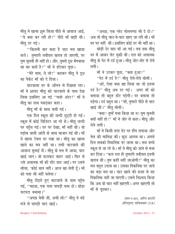मीतू ने खाना शुरू किया पीछे से आवाज आई, "ये क्या कर रही हो?" पीछे माँ खडी थी। मीतू डर गई।

'''कितनी बार कहा है चाट मत खाया करो। तुम्हारी तबीयत खराब हो जाएगी, पर तुम सुनती ही नहीं हो। और, तुमसे दूध मँगवाया था वह कहाँ है?'' माँ ने डाँटकर पूछा।

''मेरे पास, ये लो!'' कहकर मीतू ने दूध का पैकेट माँ को दे दिया।

चाटवाला घर के आँगन से दिखता रहा। माँ ने शायद मीतू को चाटवाले के पास देख लिया इसलिए आ गई ''चलो अंदर!'' माँ ने मीतू का हाथ पकड़कर कहा।

मीतू माँ के साथ चली गई।

एक दिन स्कूल की जल्दी छुट्टी हो गई। स्कूल में कोई विजिटर आ रहे थे। मीतू जल्दी घर पहुँच गई। घर पर देखा, माँ नहीं थी। वो पड़ोस वाली आंटी के साथ बाजार गई थी। माँ ने खाना टेबल पर रखा था। मीतू का खाना खाने का मन नहीं था। तभी चाटवाले की आवाज सुनाई दी। मीतू के मन में आया, चाट खाई जाए। वो फटाफट बाहर आई। फिर से उसे अचानक माँ की डाँट याद आई। पर उसने सोचा, 'कोई बात नहीं। आज खा लेती हूँ। माँ को पता भी नहीं चलेगा।'

मीतू दौड़ते हुए चाटवाले के पास पहुँच गई, ''भइया, एक पत्ता पापड़ी बना दो। थोड़ा चटपटा बनाना।"

"अच्छा बेबी जी, अभी लो!" मीतू ने बड़े मजे से पापडी चाट खाई।

"अच्छा, एक प्लेट गोलगप्पा भी दे दो।" अब तो मीतू चाट-पे-चाट खाए जा रही थी। माँ घर पर नहीं थी। इसलिए कोई डर भी नहीं था।

थोड़ी देर बाद माँ आ गई। तब तक मीतू घर में आकर लेट चुकी थी। रात को अचानक मीतू के पेट में दर्द हुआ। मीतू जोर-जोर से रोने लगी ।

माँ ने उठकर पूछा, "क्या हुआ?"

''पेट में दर्द है!'' मीतू रोते-रोते बोली।

"अरे, ऐसा क्या खा लिया था जो इतना दर्द है!" मीतू अब डर गई। अगर माँ को बताया तो बहुत डाँट पड़ेगी। पर बताना तो पड़ेगा। दर्द बहुत था। ''माँ, तुम्हारे पीछे से चाट खाई थी।" मीतू बोली।

''क्या? तुम्हें मना किया था न! तुम सुनती क्यों नहीं हो?'' माँ ने जोर से कहा। मीतू और रोने लगी ।

माँ ने किसी तरह पेट पर हींग लगाया और तेल की मालिश की। कुछ आराम था। अगले दिन सबको पिकनिक पर जाना था। सब बच्चे स्कूल से जा रहे थे। माँ ने मीतू को जाने से मना कर दिया। "कल रात ही तुम्हारी तबीयत इतनी खराब थी। तुम कहीं नहीं जाओगी!" मीतू का मन बहुत उदास था। उसका पिकनिक पर जाने का बड़ा मन था। चाट खाने की वजह से वह पिकनिक नहीं जा पाएगी। उसने निश्चय किया कि अब वो चाट नहीं खाएगी। अगर खाएगी तो माँ से पूछकर।

> टावर-3/601, ऑरेंज काउँटी इंदिरापुरम, गाजियाबाद (उ.प्र.)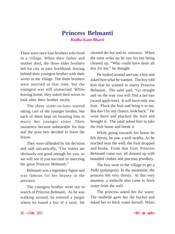## **Princess Belmanti Radha Kant Bharti**

There were once four brothers who lived in a village. When their father and mother died, the three elder brothers left for city to earn livelihood, leaving behind their youngest brother with their wives in the village. The three brothers were married at that time, but the youngest was still unmarried. While leaving home, they asked their wives to look after their brother nicely.

The three sister-in-laws started taking care of the younger brother, but each of them kept on insisting him to marry her younger sister. Their insistence became unbearable for him and the poor boy decided to leave the house.

They were offended by his decision and said sarcastically, "Our sisters are obviously not good enough for you, so we will see if you succeed in marrying the great Princess Belmanti."

Belmanti was a legendary figure and was famous for her beauty in the province.

The youngest brother went out in search of Princess Belmanti. As he was walking around, he entered a jungle where he found a hut of a saint. He

cleaned the hut and its entrance. When the saint woke up he saw his hut being cleaned up. "Who could have done all this for me," he thought.

He looked around and saw a boy and asked him what he wanted. The boy told him that he wanted to marry Princess Belmanti. The saint said, "Go straight and on the way you will find a bel tree (wood apple tree). It will have only one fruit. Pluck the fruit and bring it to me. But don't by any chance, look back." He went there and plucked the fruit and brought it. The saint asked him to take the fruit home and break it.

While going towards his home he felt thirsty, he saw a well nearby. As he reached near the well, the fruit dropped and broke. From that fruit, Princess Belmanti came out, all dressed up with beautiful clothes and precious jewellery.

The boy went to the village to get a Palki (palanquin). In the meantime, the princess felt very thirsty. At this very moment, a midwife also came to fetch water from the well.

The princess asked her for water. The midwife gave her the bucket and asked her to fetch water herself. When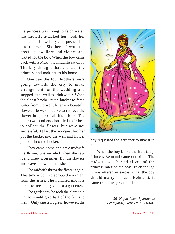the princess was trying to fetch water, the midwife attacked her, took her clothes and jewellery and pushed her into the well. She herself wore the precious jewellery and clothes and waited for the boy. When the boy came back with a Palki, the midwife sat on it. The boy thought that she was the princess, and took her to his home.

One day the four brothers were going towards the city to make arrangement for the wedding and stopped at the well to drink water. When the eldest brother put a bucket to fetch water from the well, he saw a beautiful flower. He was not able to retrieve the flower in spite of all his efforts. The other two brothers also tried their best to collect the flower, but were not successful. At last the youngest brother put the bucket into the well and flower jumped into the bucket.

They came home and gave midwife the flower. She recoiled when she saw it and threw it on ashes. But the flowers and leaves grew on the ashes.

The midwife threw the flower again. This time a bel tree sprouted overnight from the ashes. The horrified midwife took the tree and gave it to a gardener.

The gardener who took the plant said that he would give half of the fruits to them. Only one fruit grew, however, the



boy requested the gardener to give it to him.

When the boy broke the fruit *(bel)*, Princess Belmanti came out of it. The midwife was buried alive and the princess married the boy. Even though it was uttered in sarcasm that the boy should marry Princess Belmanti, it came true after great hardship.

> 56, Nagin Lake Apartments Peeragarhi, New Delhi-110087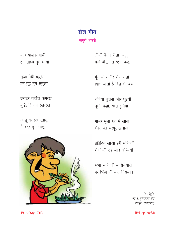# खेल गीत

माधुरी शास्त्री

मटर पालक गोभी हम साहब तुम धोबी

सुआ मेथी बथुआ हम गुड़ तुम सतुआ

टमाटर करौंदा कमरख बुद्धि ठिकाने रख-रख

आलू कटहल रतालू मैं बंदर तुम भालू

लौकी बैंगन पीला कदूदू बनो वीर, मत रहना दब्बू

मूँग मोठ और सेम फली खिल जाती है दिल की कली

धनिया पुदीना और धुइयाँ घूमो, देखो, सारी दुनिया

गाजर मूली रुत में खाना सेहत का भरपूर खजाना

प्रतिदिन खाओ हरी सब्जियाँ रोगों की उड़ जाए धज्जियाँ

सभी सब्जियाँ न्यारी-न्यारी पर भिंडी की बात निराली।



मंजू निकुंज सी/8, पृथ्वीराज रोड जयपुर (राजस्थान)

ikBd ep cyfVu

18 / vDVcj 2013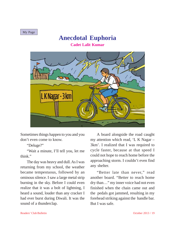My Page

## **Anecdotal Euphoria**

**Cadet Lalit Kumar**



Sometimes things happen to you and you don't even come to know.

"Deluge?"

"Wait a minute, I'll tell you, let me think."

The day was heavy and dull. As I was returning from my school, the weather became tempestuous, followed by an ominous silence. I saw a large metal strip burning in the sky. Before I could even realize that it was a bolt of lightning, I heard a sound, louder than any cracker I had ever burst during Diwali. It was the sound of a thunderclap.

A board alongside the road caught my attention which read, 'L K Nagar – 3km'. I realized that I was required to cycle faster, because at that speed I could not hope to reach home before the approaching storm. I couldn't even find any shelter.

"Better late than never," read another board. "Better to reach home dry than…" my inner voice had not even finished when the chain came out and the pedals got jammed, resulting in my forehead striking against the handle bar. But I was safe.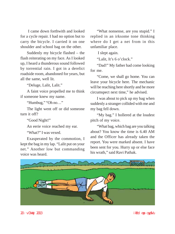I came down forthwith and looked for a cycle repair. I had no option but to carry the bicycle. I carried it on one shoulder and school bag on the other.

Suddenly my bicycle flashed – the flash reiterating on my face. As I looked up, I heard a thunderous sound followed by torrential rain. I got in a derelict roadside room, abandoned for years, but all the same, well lit.

"Deluge, Lalit, Lalit."

A faint voice propelled me to think if someone knew my name.

"Humbug," "Oh no…"

The light went off or did someone turn it off?

"Good Night!"

An eerie voice reached my ear.

"What?" I was vexed.

Exasperated by the commotion, I kept the bag in my lap. "Lalit put on your net." Another low but commanding voice was heard.

"What nonsense, are you stupid." I replied in an irksome tone thinking where do I get a net from in this unfamiliar place.

I slept again.

"Lalit, It's 6 o'clock."

"Dad!" My father had come looking for me.

"Come, we shall go home. You can leave your bicycle here. The mechanic will be reaching here shortly and be more circumspect next time," he advised.

I was about to pick up my bag when suddenly a stranger collided with me and my bag fell down.

"My bag." I hollered at the loudest pitch of my voice.

"What bag, which bag are you talking about? You know the time is 6.40 AM and the Officer has already taken the report. You were marked absent. I have been sent for you. Hurry up or else face his wrath," said Ravi Pathak.



20 / vDVwcj 2013 ikBd eap cqysfVu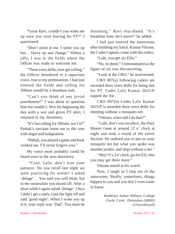"Great Ravi, couldn't you wake me up once you were leaving for PT?" I questioned.

"Don't point at me, I woke you up but… Hurry up and change." Within a jiffy, I was in the fields where the Officer was ready to welcome me.

"Three extra drills, now get rolling," the Officer thundered in a rapacious voice, true to my premonition. I had just entered the fields and rolling for 200mts would be a mundane task.

"Can't you think of any jovial punishment?" I was about to question him but couldn't. Wry for beginning the day with a wet and green PT shirt, I returned to my dormitory.

"It's fun rolling for 200mts, isn't it?" Pathak's sarcasm burnt me to the core with anger and indignation.

"Pathak, you played a game and hook winked me. I'll never forgive you."

My voice most probably could be heard even in the next dormitory.

 "Cool, Lalit, don't lose your patience. Do you recall last night we were practicing for words? I asked 'deluge'… You said you will think, but in the meanwhile you dozed off. After a short while I again asked 'deluge'. Once I didn't get a reply, I put the light off and said 'good night'. When I woke you up at 6, your reply was 'Dad'. You must be

dreaming," Ravi elucidated. "It's breakfast time, let's move!" he added.

I had just entered the anterooms after finishing my lunch. Kumar Vikram, the Cadet Captain, came with the orders.

"Lalit, you get six EDs."

"No, its three," I remonstrated as the figure of six was disconcerting.

"Look at the CRO," he asseverated.

CRO 007(a) following cadets are awarded three extra drills for being late for PT. Cadet Lalit Kumar 2625/P topped the list.

CRO 007(b) Cadet Lalit Kumar 2625/P is awarded three extra drills for sleeping without a mosquito net.

"Vikram, when did I do that?"

 "Lalit, don't you recollect, the Duty Master came at around 12 o' clock at night and took a round of the entire Section. He ordered you to put on your mosquito net but what you spoke was mumbo jumbo, and slept without a net."

 "Hey! It's 3 o'clock, go for ED, else you may get three more."

Vikram stared at his watch.

Now, I laugh as I step out of the anterooms. Really, sometimes, things happen to you and you don't even come to know.

> Rashtriya Indian Military College Garhi Cantt, Dehradun-248003 (Uttarakhand)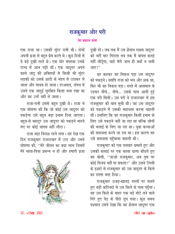## राजकुमार और परी

### वेद प्रकाश कंवर

एक राजा था। उसकी सुंदर रानी थी। दोनों अपनी प्रजा से बहुत प्रेम करते थे। कुछ दिनों से वे बड़े दुखी रहते थे। एक घोर समस्या उनके राज्य में आन पड़ी थी। एक जादूगर अपने काले जादू की शक्तियों से किसी भी सुंदर लडकी को उसके शादी के मंडप से उठाकर ले जाता और गायब हो जाता। दरअसल, जंगल में उसने एक जादुई सुरक्षित किला बना रखा था और वह उन्हें वहीं ले जाता।

राजा-रानी इससे बहुत दुखी थे। राजा ने एक घोषणा की कि जो कोई उस जादूगर को पकड़ेगा उसे बहुत बड़ा इनाम दिया जाएगा। बहुत-से बहादुर उस जादूगर को पकड़ने मारने गए पर कोई वापस नहीं लौटा।

राजा बडा निराश रहने लगा। यह देख एक दिन राजकुमार राजदरबार में उठा और उसने घोषणा की, ''मेरे जीवन का क्या लाभ जिसमें मेरे माता-पिता प्रसन्न न हों और हमारी प्रजा



दुखी रहे। जब तक मैं उस शैतान राक्षस जादूगर को नहीं मार गिराता तब तक मैं वापस कतई नहीं लौटूँगा, चाहे मेरी जान ही क्यों न चली जाए!"

यह कहकर वह निकल पड़ा उस जादूगर को पकडने। यद्यपि राजा को भय और शक था. फिर भी वह निकल पडा। रास्ते में आसमान से उड़कर नीचे... नीचे... उसके पास आती हुई एक परी मिली। उस परी ने राजदरबार में इस राजकुमार की बात सुनी थी। वह उस जादूगर को पकड़ने में उसकी सहायता करना चाहती थी। इसलिए कि वह राजकुमार किसी इनाम के लिए उसे पकड़ने नहीं जा रहा था बल्कि लोगों की भलाई के लिए जा रहा था। युवा कन्याओं की सहायता करने जा रहा था। इस कारण वह उसे सहायता पहुँचाना चाहती थी।

राजकुमार को एक तलवार थमाते हुए और उसकी कलाई पर एक काला धागा बाँधते हुए वह बोली, ''जाओ राजकुमार, अब तुम पर कोई विजय नहीं पा सकता!" और उसने उँगली के इशारे से राजकुमार को उस जादूगर के किले का रास्ता बता दिया।

राजकुमार ऊबड़-खाबड़ रास्तों पर चलते हुए बड़ी कठिनाई से उस किले के पास पहुँचा। वह उस किले के बाहर एक बड़े मोटे तने वाले गिरे हुए पेड़ के पीछे छुप गया। कुछ समय पश्चात उसने देखा कि वह शैतान जादूगर एक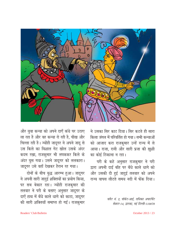

और युवा कन्या को अपने दाएँ कंधे पर उठाए ला रहा है और वह कन्या रो रही है, चीख और चिल्ला रही है। ज्योंही जादूगर ने अपने जादू से उस किले का विशाल गेट खोल उसके अंदर कदम रखा, राजकुमार भी लपककर किले के अंदर घुस गया। उसने जादूगर को ललकारा। जादूगर उसे वहाँ देखकर हैरान रह गया।

दोनों के बीच युद्ध आरम्भ हुआ। जादूगर ने अपनी सारी जादुई शक्तियों का प्रयोग किया, पर सब बेकार रहा। ज्योंही राजकुमार की तलवार ने परी के बताए अनुसार जादूगर के दाएँ हाथ में बँधे काले धागे को काटा, जादूगर की सारी शक्तियाँ समाप्त हो गईं। राजकुमार ने उसका सिर काट दिया। सिर कटते ही सारा किला जंगल में परिवर्तित हो गया। सभी कन्याओं को आजाद करा राजकुमार उन्हें राज्य में ले आया। राजा, रानी और सारी प्रजा की खुशी का कोई ठिकाना न रहा।

परी के कहे अनुसार राजकुमार ने परी हारा अपनी दाई बाँह पर बँधे काले धागे को और उसकी दी हुई जादुई तलवार को अपने राज्य वापस लौटते समय नदी में फेंक दिया।

> *फ्लैट नं. 2, पॉकेट-आई, राधिका अपार्टमेंट सेक्टर-14. द्वारका. नई दिल्ली-110078*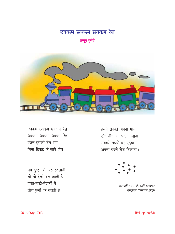छक्कम छक्कम छक्कम रेल

प्रत्यूष गुलेरी



छक्कम छक्कम छक्कम रेल धक्कम धक्कम धक्कम रेल इंजन इसको ठेल रहा बिना टिकट के जावें जेल

नव दुल्हन-सी यह इठलाती सौ-सौ देखो बल खाती है पर्वत-घाटी-मैदानों में लाँघ पुलों पर गर्राती है

इसने सबको अपना माना ऊँच-नीच का भेद न जाना सबको सबके घर पहुँचाना अपना बदले रोज ठिकाना।



सरस्वती नगर, पो. दाड़ी-176057 धर्मशाला (हिमाचल प्रदेश)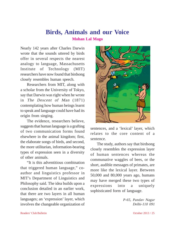## **Birds, Animals and our Voice Mohan Lal Mago**

Nearly 142 years after Charles Darwin wrote that the sounds uttered by birds offer in several respects the nearest analogy to language, Massachusetts Institute of Technology (MIT) researchers have now found that birdsong closely resembles human speech.

Researchers from MIT, along with a scholar from the University of Tokyo, say that Darwin was right when he wrote in The Descent of Man (1871) contemplating how human beings learnt to speak and language could have had its origin from singing.

The evidence, researchers believe, suggests that human language is a grafting of two communication forms found elsewhere in the animal kingdom; first, the elaborate songs of birds, and second, the more utilitarian, information-bearing types of expression seen in a diversity of other animals.

"It is this adventitious combination that triggered human language," coauthor and linguistics professor in MIT's Department of Linguistics and Philosophy said. The idea builds upon a conclusion detailed in an earlier work, that there are two layers in all human languages; an 'expression' layer, which involves the changeable organization of



sentences, and a 'lexical' layer, which relates to the core content of a sentence.

The study, authors say that birdsong closely resembles the expression layer of human sentences whereas the communative waggles of bees, or the short, audible messages of primates, are more like the lexical layer. Between 50,000 and 80,000 years ago, humans may have merged these two types of expressions into a uniquely sophisticated form of language.

> P-65, Pandav Nagar Delhi-110 091

Readers' Club Bulletin Contract Club Bulletin Contract Club Bulletin Contract Club Bulletin Contract Club Bulletin Contract Club Bulletin Contract Club Bulletin Contract Club Bulletin Contract Club Bulletin Contract Club B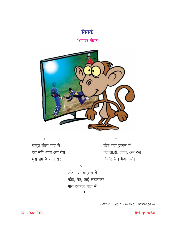### ikBd ep cyfVu

109/323, रामकृष्ण नगर, कानपुर-208012 (उ.प्र.)

 $\overline{3}$ ऊँट गया ससुराल में कोट, पैंट, टाई लटकाकर पान दबाकर गाल में।

 $\mathbf{1}$ बछड़ा बोला गाय से दूध नहीं भाता अब तेरा मुझे प्रेम है चाय से!

 $\overline{2}$ बंदर गया दुकान में एल.सी.डी. लाया, अब देखे क्रिकेट मैच मैदान में।





शिवचरण चौहान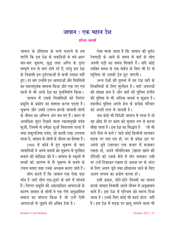## <u>जापान : एक महान देश</u>

### इन्दिरा बागची

ऐसा माना जाता है कि जापान की बुलेट रेलगाडी के आने के समय से वहाँ के लोग अपनी घडी का समय मिलाते हैं। यदि कोई व्यक्ति समय से एक सेकेंड के लिए भी देर से पहुँचेगा तो उसकी ट्रेन छूट जाएगी।

अन्य देशों की तुलना में यह देश यहाँ के निवासियों के लिए सुरक्षित है। यहाँ अपराधों की संख्या कम है और यहाँ की पुलिस इंग्लैंड की पुलिस से भी अधिक सतर्क व कुशल है। स्थानीय पुलिस अपने क्षेत्र के प्रत्येक परिवार को अच्छी तरह से जानती है।

जब कोई भी विदेशी जापान में रहता है तो वह शीघ्र ही हर काम को सुचारु रूप से करना सीख जाता है। इस देश का सिद्धांत है 'जो भी करो ठीक से करो।' चाहे कोई किमोनो पहनकर सडक पर चल रहा हो. घर के प्रवेश द्वार पर अपने जूते उतारकर एक कतार में सजाकर रखता हो, अपने चौपस्टिक्स (खाना खाने की डंडियाँ) को उसके थैले में गाँठ लगाकर उसी पर उन्हें टिकाकर रखता हो अथवा घर के अंदर के लिए अलग जूते तथा शौचालय जाने के लिए अलग चप्पल का प्रयोग करता हो।

इसी प्रकार, छोटे-छोटे नियमों का पालन करके जापान निवासी अपने जीवन में अनुशासन लाते हैं। इस देश में परिश्रम को महत्व दिया जाता है। उनके लिए कोई भी कार्य छोटा नहीं है। इस देश में सड़क पर झाडू लगाने वाला भी

जापान के इतिहास के पन्ने पलटने से हम पाएँगे कि इस देश के लकडियों से बने शहर बार-बार भूकम्प, युद्ध तथा अग्नि के द्वारा सम्पूर्ण रूप से नष्ट होते रहे हैं, परंतु इस देश के निवासी इन दुर्घटनाओं से कभी हताश नहीं हुए। हर बार उन्होंने इन आपदाओं और विपत्तियों का साहसपूर्वक सामना किया और एक नए एवं पहले से भी अच्छे देश का पुनर्निर्माण किया।

जापान में उसके निवासियों को निरंतर प्रकृति के प्रकोप का सामना करना पड़ता है। भूकम्प और उससे उत्पन्न झटके जापानी लोगों के जीवन का अभिन्न अंग बन गए हैं। बाहर से अत्यधिक सुंदर दिखने वाला ज्वालामुखी पर्वत फ़्जी, जिसमें से हमेशा धुआँ निकलता रहता है तथा सकुराजिमा पर्वत, जो काली राख उगलता रहता है. जापान के लोगों के जीवन का हिस्सा हैं।

1995 में कोबे में हुए भूकम्प के बाद जापानियों ने अपने भवनों को भूकम्प से सुरक्षित बनाने की कोशिश की है। जापान के स्कूलों में बच्चों को आरम्भ से ही भूकम्प से बचने के उपाय बताए तथा उनके अभ्यास कराए जाते हैं।

लोग कहते हैं कि जापान एक ऐसा बडा गाँव है जहाँ लोग एक-दूसरे के बारे में सोचते हैं। निरंतर प्रकृति की अप्रत्याशित आपदाओं के कारण जापान के लोगों ने एक ऐसे अनुशासित समाज का संगठन किया है जो उन्हें ऐसी आपदाओं से जूझने की शक्ति देता है।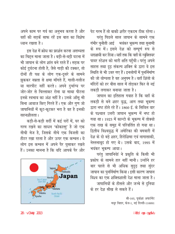अपने काम पर गर्व का अनुभव करता है और वहाँ की सडकें साफ रहें इस बात का विशेष ध्यान रखता है।

इस देश में क्रोध का प्रदर्शन करना असभ्यता का चिहून माना जाता है। बड़ी-से-बड़ी घटना में भी जापान के लोग शांत बने रहते हैं। सड़क पर कोई दुर्घटना होती है, जैसे गाड़ी की टक्कर, तो दोनों ही पक्ष के लोग एक-दूसरे के सामने झुककर नम्रता से क्षमा माँगते हैं, गाली-गलौज या मारपीट नहीं करते। अपने दुर्भाग्य पर जोर-जोर से चिल्लाकर रोना या माथा पीटना इनके स्वभाव का अंश नहीं है। उनके आँसू भी बिना आवाज किए गिरते हैं। एक और गुण जो जापानियों में कूट-कूटकर भरा है वह है इनकी सहनशीलता ।

कड़ी-से-कड़ी सर्दी में कई घरों में, घर को गरम रखने का साधन 'कोकात्सु' है जो एक नीची मेज है, जिसके नीचे एक बिजली का हीटर रखा रहता है और ऊपर एक कम्बल। ये लोग इस कम्बल में अपने पैर घुसाकर रखते हैं। उनका मानना है कि यदि आपके पैर और



पेट गरम हैं तो बाकी शरीर एकदम ठीक रहेगा।

परंत पिछले साल जापान के सामने एक गंभीर चुनौती आई भयंकर भूकम्प तथा सुनामी के रूप में। इसने देश को सम्पूर्ण रूप से धराशायी कर दिया। यहाँ तक कि वहाँ के न्युक्लियर पावर स्टेशन को भारी क्षति पहुँची। परंतु अपने साहस तथा दृढ़ संकल्प शक्ति के द्वारा वे इस स्थिति से भी उबर गए हैं। इनलोगों में पुनर्निर्माण की जो योग्यता है वह अनुपम है। यहाँ शिंतो के मंदिरों को हर बीस साल में तोडकर फिर से नई लकडी लगाकर बनाया जाता है।

जापान का इतिहास गवाह है कि वहाँ के लकड़ी से बने शहर युद्ध, आग तथा भूकम्प द्वारा नष्ट होते रहे हैं। 1860 ई. के सिविल वार के पश्चात उत्तरी जापान भूकम्प में नष्ट हो गया था। 1923 में कान्टो के भूकम्प में तोक्यो एक राख के समुद्र में परिवर्तित हो गया था। द्वितीय विश्वयुद्ध में अमेरिका की बमबारी में देश के दो बडे शहर, हिरोशिमा एवं नागासाकी, नेस्तनाबूद हो गए थे। उसके बाद, 1995 में भयंकर भूकम्प आया।

परंतु जापानियां ने प्रकृति के किसी भी प्रकोप के सामने हार नहीं मानी। उन्होंने हर बार पहले से भी अधिक सुदृढ़ तथा सुंदर जापान का पुनर्निर्माण किया। इसी कारण जापान विश्व का एक शक्तिशाली देश माना जाता है। जापानियों के हौसले और जज्बे से दुनिया के हर देश सीख ले सकते हैं।

> सी-103, पूर्वाशा अपार्टमेंट मयूर विहार, फेज-1, नई दिल्ली-110091

28 / vDVmj 2013

ikBd ep cyfVu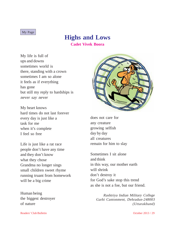My Page

## **Highs and Lows**

**Cadet Vivek Boora**

My life is full of ups and downs sometimes world is there, standing with a crown sometimes I am so alone it feels as if everything has gone but still my reply to hardships is never say never

My heart knows hard times do not last forever every day is just like a task for me when it's complete I feel so free

Life is just like a rat race people don't have any time and they don't know what they chose Grandma no longer sings small children sweet rhyme running truant from homework will be a big crime

Human being the biggest destroyer of nature



does not care for any creature growing selfish day by day all creatures remain for him to slay

Sometimes I sit alone and think in this way, our mother earth will shrink don't destroy it for God's sake stop this trend as she is not a foe, but our friend.

Rashtriya Indian Military College Garhi Cantonment, Dehradun-248003 (Uttarakhand)

Readers' Club Bulletin October 2013 / 29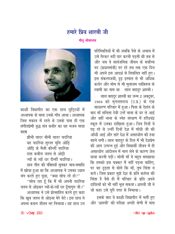## हमारे प्रिय शास्त्री जी

मीनू श्रीवास्तव

परिस्थितियों में भी जबकि पैसे के अभाव में उसे तैरकर नदी पार करनी पड़ती थी तब से और जब वे सार्वजनिक जीवन के सर्वोच्च पद (प्रधानमंत्री) पर रहे तब तक एक दिन भी अपने इस आदर्श से विचलित नहीं हुए। इस संकल्पजयी, दृढ़ इस्पात से भी अधिक कठोर और मोम से भी मुलायम व्यक्तित्व के स्वामी का नाम था जलाल बहादुर शास्त्री।

लाल बहादुर शास्त्री का जन्म 2 अक्टूबर, 1904 को मुगलसराय (उ.प्र.) के एक साधारण परिवार में हुआ। पिता के देहांत के बाद माँ ललिता देवी उन्हें नाना के घर ले आई और वहीं नाना के स्नेह संरक्षण में हरिश्चंद्र स्कूल में उनका दाखिला हुआ। जिन दिनों वे पढ़ रहे थे उन्हीं दिनों देश में गाँधी जी की आँधी आई और सारे देश में असहयोग की हवा बहने लगी। लाल बहादुर के दिल में भी देशप्रेम की आग उत्पन्न हुई और विद्यार्थी जीवन में ही असहयोग आंदोलन में भाग लेने के कारण जेल यात्रा करनी पड़ी। भोली माँ ने बहुत समझाया कि हमको इस चक्कर में नहीं पड़ना चाहिए, पर वह दृढ़ता से बोले कि माँ, तुम चिंता न करो। जिस प्रकार मुझे देश के प्रति कर्तव्य की चिंता है वैसे ही मैं परिवार के प्रति अपने दायित्वों को भी नहीं भूल सकता। शास्त्री जी ने जो कहा उसे पूरी तरह से निभाया।

इसके बाद वे काशी विद्यापीठ में भर्ती हुए और 'शास्त्री' की परीक्षा अच्छी श्रेणी में पास



काशी विद्यापीठ का एक छात्र छुट्टिटयों में अध्यापक के साथ उनके गाँव आया। अध्यापक जिस मकान में रहते थे उसके पास ही एक संगीतप्रेमी वृद्ध संत कबीर का यह भजन गाया करता

झीनी चादर बीनी चादर चदरिया यह चदरिया सुरनर मुनि ओढ़ि ओढ़ि के मैली कीन्हीं चदरिया दास कबीरा जतन से ओढी ज्यों के त्यों धर दीन्हीं चदरिया। छात्र गीत की पंक्तियाँ सुनकर भाव-समाधि में खोया हुआ था कि अध्यापक ने उसका ध्यान भंग करते हुए पूछा, "क्या सोच रहे हो?"

''सोच रहा हूँ कि मैं भी अपनी चदरिया जतन से ओढ़कर ज्यों-के-त्यों धर दूँगागुरु जी।'' अध्यापक ने उसे प्रोत्साहित करते हुए कहा कि खूब जतन से ओढ़ना मेरे बेटे। इस छात्र ने अपना कथन जीवन भर निभाया। यह छात्र उन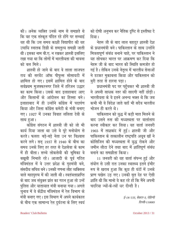की। अनेक व्यक्ति उनके नाम से समझते थे कि वह एक संस्कृत पंडित रहे होंगे पर सच्चाई यह थी कि उस समय काशी विद्यापीठ की यह उपाधि स्नातक डिग्री के समतुल्य समझी जाती थी। इसका नाम बी.ए. न रखकर शास्त्री इसलिए रखा गया था कि लोगों में भारतीयता की भावना को बल मिले।

शास्त्री हो जाने के बाद वे लाला लाजपत राय की सरवेंट ऑफ पीपुल्स सोसायटी में शामिल हो गए। इसमें शामिल होने के बाद सर्वप्रथम मुजफ्फरनगर जिले में हरिजन उद्धार का काम किया। उसके बाद इलाहाबाद आए और किसानों के आंदोलन का हिस्सा बने। इलाहाबाद में ही उन्होंने काँग्रेस में पदार्पण किया और जिला काँग्रेस कमेटी के मंत्री बनाए गए। 1927 में उनका विवाह ललिता देवी के साथ हुआ।

काँग्रेस संगठन में शास्त्री जी को जो भी कार्य दिया जाता था उसे वे पूरे मनोयोग से करते। फलतः बडे-बडे नेता उन पर विश्वास करने लगे। सन् 1937 से 1940 के बीच का समय उनके लिए हर तरह से देशसेवा के काम में ही बीता। सच्चे लोकसेवी की भूमिका वे बखूबी निभाते रहे। आजादी के पूर्व गठित मंत्रिमंडल में वे उत्तर प्रदेश के गृहमंत्री बने, संसदीय सचिव बने। उनकी गणना लौह व्यक्तित्व वाले महापुरुष में की जाती थी। स्वतंत्रताप्राप्ति के बाद जब संयुक्त प्रांत का गठन हुआ तो उन्हें पुलिस और यातायात मंत्री बनाया गया। अगले चुनाव में वे केंद्रीय मंत्रिमंडल में रेल विभाग के मंत्री बनाए गए। इस विभाग में अपने कार्यकाल के बीच एक सामान्य रेल दुर्घटना के लिए स्वयं को दोषी अनुभव कर नैतिक दृष्टि से इस्तीफा दे दिया ।

नेहरू जी के बाद लाल बहादुर शास्त्री देश के प्रधानमंत्री बने। पाकिस्तान के साथ उन्होंने मित्रतापूर्ण संबंध बनाने चाहे, पर पाकिस्तान ने यह सोचकर भारत पर आक्रमण कर दिया कि नेहरू जी के बाद भारत की स्थिति कमजोर हो गई है। लेकिन उनके नेतृत्व में भारतीय सेनाओं ने डटकर मुकाबला किया और पाकिस्तान को बुरी तरह से हारना पड़ा।

प्रधानमंत्री पद पर पहुँचकर भी शास्त्री जी ने अपनी साधक स्तर की सादगी नहीं छोड़ी। भारतीयता के वे इतने अनन्य भक्त थे कि जब कभी भी वे विदेश जाते वहाँ भी सदैव भारतीय भोजन ही करते थे।

पाकिस्तान को युद्ध में कड़ी मात मिलने के बाद उसने रूस की मध्यस्थता पर वार्तालाप करना स्वीकार कर लिया। यह वार्ता जनवरी 1965 में ताशकंद में हुई। शास्त्री जी और पाकिस्तान के तत्कालीन राष्ट्रपति अयूब खाँ ने कोसिजिन की मध्यस्थता में युद्ध रोकने और जमीन लौटा देने तथा बाद में शांतिपूर्ण संबंध बनाने का समझौता किया।

11 जनवरी को यह वार्ता संपन्न हुई और संयोग से उसी रात उनका स्वास्थ्य इतने इंभीर रूप से खराब हुआ कि कुछ ही घंटों में उनके प्राण पखेरू उड़ गए। उनकी मृत देह पर ऐसी शांति थी कि मानो वे कह रहे हों कि मैंने अपनी चदरिया ज्यों-के-त्यों धर दीन्ही है।

> ई-18/133, सेक्टर-3, रोहिणी दिल्ली-110085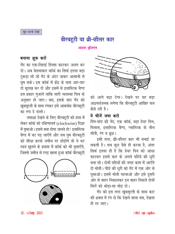खुद करके देखो

## वीरबहूटी या थ्री-व्हीलर कार

आइवर यूशिएल

### बनाना शुरू करो

गेंद का एक-तिहाई हिस्सा काटकर अलग कर दो। अब बेलनाकार कॉर्क का सिर्फ इतना बडा टुकड़ा लो जो गेंद के अंदर जाकर आसानी से घूम सके। इस कॉर्क में केंद्र के पास आर-पार दो सूराख कर दो और इसमें से इलास्टिक बैण्ड इस प्रकार गुजारो ताकि सारी व्यवस्था चित्र के अनुसार हो जाए। बस, इसके बाद गेंद को खूबसूरती के साथ रंगकर इसे आकर्षक वीरबहूटी का रूप दे डालो।

तमाशा देखने के लिए वीरबहूटी को हाथ में लेकर कॉर्क को दक्षिणावर्त्त (clockwise) दिशा में घुमाओ। इससे क्या होगा जानते हो? इलास्टिक बैण्ड में बट पड़ जाएँगे और जब तुम वीरबहूटी को सीधा करके जमीन पर छोडोगे तो ये बट स्वयं खुलने के प्रयास में कॉर्क को भी घुमाएँगे, जिससे जमीन से रगड़ खाता हुआ कॉर्क वीरबहूटी





को आगे बढ़ा देगा। देखने पर यह बड़ा आश्चर्यजनक लगेगा कि वीरबहूटी आखिर चल कैसे रही है।

### ये चीजें जमा करो

पिंग-पांग की गेंद, एक कॉर्क, बड़ा हेयर पिन, पिलास. इलास्टिक बैण्ड. प्लास्टिक के तीन मोती, रंग व ब्रुश।

इसी तरह, थ्री-व्हीलर कार भी बनाई जा सकती है। सब कुछ वैसे ही करना है, अंतर सिर्फ इतना ही है कि हेयर पिन को आधा काटकर इससे कार के अगले पहिये की धुरी बना लो। दोनों पहियों की जगह काम में आएँगे दो मोती। पीछे की धुरी को गेंद में एक ओर से घुसाओ। इसमें मोती पहनाओ और इसे दूसरी ओर से बाहर निकालकर इन बाहर निकले दोनों सिरों को थोड़ा-सा मोड़ दो।

गेंद को इस तरह खूबसूरती के साथ कार की शक्ल में रंग दो कि देखने वाला बस. देखता ही रह जाए।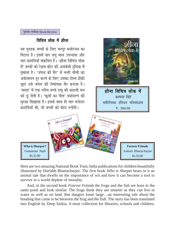

Here are two amazing National Book Trust, India publications for children beautifully illustrated by Durlabh Bhattacharjee. The first book Who is Sharper bears in it an animal tale that dwells on the importance of wit and how it can become a tool to survive in a world deplete of morality.

And, in the second book Forever Friends the frogs and the fish are born in the same pond and look similar. The frogs think they are smarter as they can live in water as well as on land. But dangers loom large…an interesting tale about the bonding that came to be between the frog and the fish. The story has been translated into English by Deep Saikia. A must collection for libraries, schools and children.